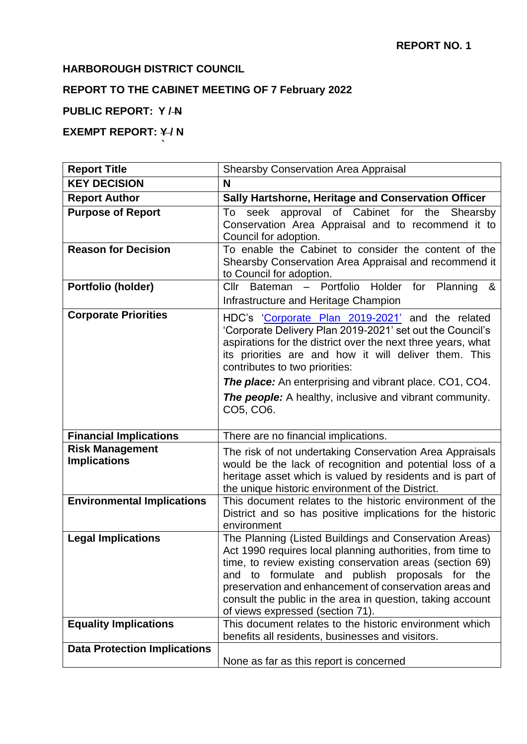# **HARBOROUGH DISTRICT COUNCIL**

**`**

# **REPORT TO THE CABINET MEETING OF 7 February 2022**

# **PUBLIC REPORT: Y / N**

# **EXEMPT REPORT: Y/N**

| <b>Report Title</b>                           | <b>Shearsby Conservation Area Appraisal</b>                                                                                                                                                                                                                                                                                                                                                                  |
|-----------------------------------------------|--------------------------------------------------------------------------------------------------------------------------------------------------------------------------------------------------------------------------------------------------------------------------------------------------------------------------------------------------------------------------------------------------------------|
| <b>KEY DECISION</b>                           | N                                                                                                                                                                                                                                                                                                                                                                                                            |
| <b>Report Author</b>                          | Sally Hartshorne, Heritage and Conservation Officer                                                                                                                                                                                                                                                                                                                                                          |
| <b>Purpose of Report</b>                      | To seek approval of Cabinet for the Shearsby<br>Conservation Area Appraisal and to recommend it to<br>Council for adoption.                                                                                                                                                                                                                                                                                  |
| <b>Reason for Decision</b>                    | To enable the Cabinet to consider the content of the<br>Shearsby Conservation Area Appraisal and recommend it<br>to Council for adoption.                                                                                                                                                                                                                                                                    |
| Portfolio (holder)                            | Cllr Bateman - Portfolio Holder for Planning<br>&<br>Infrastructure and Heritage Champion                                                                                                                                                                                                                                                                                                                    |
| <b>Corporate Priorities</b>                   | HDC's 'Corporate Plan 2019-2021' and the related<br>'Corporate Delivery Plan 2019-2021' set out the Council's<br>aspirations for the district over the next three years, what<br>its priorities are and how it will deliver them. This<br>contributes to two priorities:<br><b>The place:</b> An enterprising and vibrant place. CO1, CO4.<br><b>The people:</b> A healthy, inclusive and vibrant community. |
|                                               | CO5, CO6.                                                                                                                                                                                                                                                                                                                                                                                                    |
| <b>Financial Implications</b>                 | There are no financial implications.                                                                                                                                                                                                                                                                                                                                                                         |
| <b>Risk Management</b><br><b>Implications</b> | The risk of not undertaking Conservation Area Appraisals<br>would be the lack of recognition and potential loss of a<br>heritage asset which is valued by residents and is part of<br>the unique historic environment of the District.                                                                                                                                                                       |
| <b>Environmental Implications</b>             | This document relates to the historic environment of the<br>District and so has positive implications for the historic<br>environment                                                                                                                                                                                                                                                                        |
| <b>Legal Implications</b>                     | The Planning (Listed Buildings and Conservation Areas)<br>Act 1990 requires local planning authorities, from time to<br>time, to review existing conservation areas (section 69)<br>and to formulate and publish proposals for<br>the<br>preservation and enhancement of conservation areas and<br>consult the public in the area in question, taking account<br>of views expressed (section 71).            |
| <b>Equality Implications</b>                  | This document relates to the historic environment which<br>benefits all residents, businesses and visitors.                                                                                                                                                                                                                                                                                                  |
| <b>Data Protection Implications</b>           | None as far as this report is concerned                                                                                                                                                                                                                                                                                                                                                                      |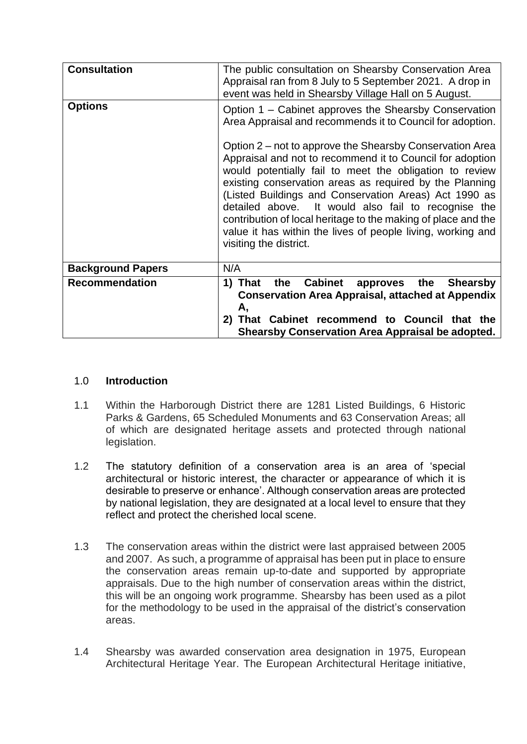| <b>Consultation</b>      | The public consultation on Shearsby Conservation Area<br>Appraisal ran from 8 July to 5 September 2021. A drop in<br>event was held in Shearsby Village Hall on 5 August.                                                                                                                                                                                                                                                                                                                                             |
|--------------------------|-----------------------------------------------------------------------------------------------------------------------------------------------------------------------------------------------------------------------------------------------------------------------------------------------------------------------------------------------------------------------------------------------------------------------------------------------------------------------------------------------------------------------|
| <b>Options</b>           | Option 1 – Cabinet approves the Shearsby Conservation<br>Area Appraisal and recommends it to Council for adoption.                                                                                                                                                                                                                                                                                                                                                                                                    |
|                          | Option 2 – not to approve the Shearsby Conservation Area<br>Appraisal and not to recommend it to Council for adoption<br>would potentially fail to meet the obligation to review<br>existing conservation areas as required by the Planning<br>(Listed Buildings and Conservation Areas) Act 1990 as<br>detailed above. It would also fail to recognise the<br>contribution of local heritage to the making of place and the<br>value it has within the lives of people living, working and<br>visiting the district. |
| <b>Background Papers</b> | N/A                                                                                                                                                                                                                                                                                                                                                                                                                                                                                                                   |
| <b>Recommendation</b>    | the Cabinet<br>approves the<br><b>Shearsby</b><br>1) That<br><b>Conservation Area Appraisal, attached at Appendix</b><br>Α,<br>That Cabinet recommend to Council that the<br>2)<br><b>Shearsby Conservation Area Appraisal be adopted.</b>                                                                                                                                                                                                                                                                            |

## 1.0 **Introduction**

- 1.1 Within the Harborough District there are 1281 Listed Buildings, 6 Historic Parks & Gardens, 65 Scheduled Monuments and 63 Conservation Areas; all of which are designated heritage assets and protected through national legislation.
- 1.2 The statutory definition of a conservation area is an area of 'special architectural or historic interest, the character or appearance of which it is desirable to preserve or enhance'. Although conservation areas are protected by national legislation, they are designated at a local level to ensure that they reflect and protect the cherished local scene.
- 1.3 The conservation areas within the district were last appraised between 2005 and 2007. As such, a programme of appraisal has been put in place to ensure the conservation areas remain up-to-date and supported by appropriate appraisals. Due to the high number of conservation areas within the district, this will be an ongoing work programme. Shearsby has been used as a pilot for the methodology to be used in the appraisal of the district's conservation areas.
- 1.4 Shearsby was awarded conservation area designation in 1975, European Architectural Heritage Year. The European Architectural Heritage initiative,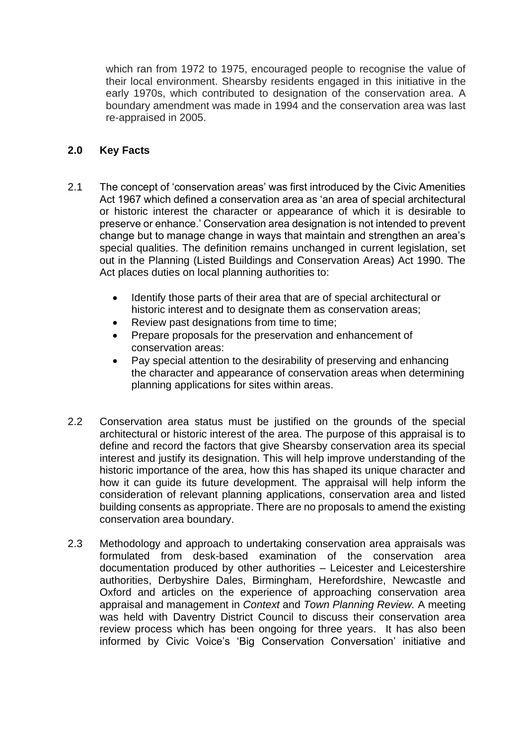which ran from 1972 to 1975, encouraged people to recognise the value of their local environment. Shearsby residents engaged in this initiative in the early 1970s, which contributed to designation of the conservation area. A boundary amendment was made in 1994 and the conservation area was last re-appraised in 2005.

### **2.0 Key Facts**

- 2.1 The concept of 'conservation areas' was first introduced by the Civic Amenities Act 1967 which defined a conservation area as 'an area of special architectural or historic interest the character or appearance of which it is desirable to preserve or enhance.' Conservation area designation is not intended to prevent change but to manage change in ways that maintain and strengthen an area's special qualities. The definition remains unchanged in current legislation, set out in the Planning (Listed Buildings and Conservation Areas) Act 1990. The Act places duties on local planning authorities to:
	- Identify those parts of their area that are of special architectural or historic interest and to designate them as conservation areas;
	- Review past designations from time to time;
	- Prepare proposals for the preservation and enhancement of conservation areas:
	- Pay special attention to the desirability of preserving and enhancing the character and appearance of conservation areas when determining planning applications for sites within areas.
- 2.2 Conservation area status must be justified on the grounds of the special architectural or historic interest of the area. The purpose of this appraisal is to define and record the factors that give Shearsby conservation area its special interest and justify its designation. This will help improve understanding of the historic importance of the area, how this has shaped its unique character and how it can guide its future development. The appraisal will help inform the consideration of relevant planning applications, conservation area and listed building consents as appropriate. There are no proposals to amend the existing conservation area boundary.
- 2.3 Methodology and approach to undertaking conservation area appraisals was formulated from desk-based examination of the conservation area documentation produced by other authorities – Leicester and Leicestershire authorities, Derbyshire Dales, Birmingham, Herefordshire, Newcastle and Oxford and articles on the experience of approaching conservation area appraisal and management in *Context* and *Town Planning Review.* A meeting was held with Daventry District Council to discuss their conservation area review process which has been ongoing for three years. It has also been informed by Civic Voice's 'Big Conservation Conversation' initiative and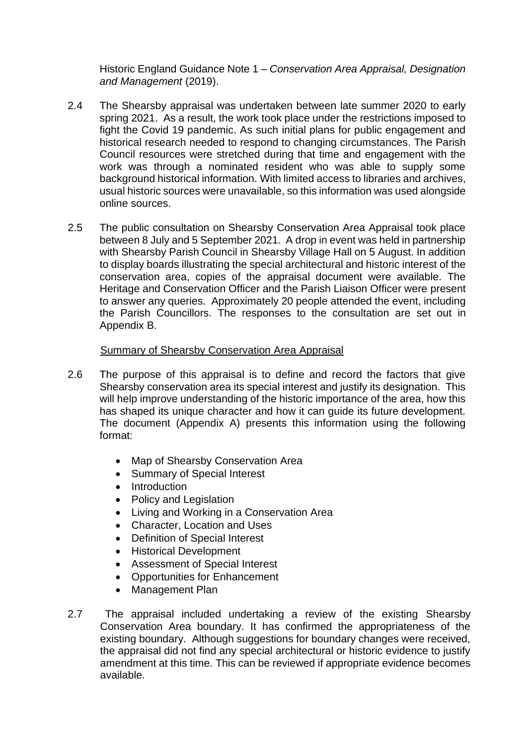Historic England Guidance Note 1 – *Conservation Area Appraisal, Designation and Management* (2019).

- 2.4 The Shearsby appraisal was undertaken between late summer 2020 to early spring 2021. As a result, the work took place under the restrictions imposed to fight the Covid 19 pandemic. As such initial plans for public engagement and historical research needed to respond to changing circumstances. The Parish Council resources were stretched during that time and engagement with the work was through a nominated resident who was able to supply some background historical information. With limited access to libraries and archives, usual historic sources were unavailable, so this information was used alongside online sources.
- 2.5 The public consultation on Shearsby Conservation Area Appraisal took place between 8 July and 5 September 2021. A drop in event was held in partnership with Shearsby Parish Council in Shearsby Village Hall on 5 August. In addition to display boards illustrating the special architectural and historic interest of the conservation area, copies of the appraisal document were available. The Heritage and Conservation Officer and the Parish Liaison Officer were present to answer any queries. Approximately 20 people attended the event, including the Parish Councillors. The responses to the consultation are set out in Appendix B.

#### **Summary of Shearsby Conservation Area Appraisal**

- 2.6 The purpose of this appraisal is to define and record the factors that give Shearsby conservation area its special interest and justify its designation. This will help improve understanding of the historic importance of the area, how this has shaped its unique character and how it can guide its future development. The document (Appendix A) presents this information using the following format:
	- Map of Shearsby Conservation Area
	- Summary of Special Interest
	- Introduction
	- Policy and Legislation
	- Living and Working in a Conservation Area
	- Character, Location and Uses
	- Definition of Special Interest
	- Historical Development
	- Assessment of Special Interest
	- Opportunities for Enhancement
	- Management Plan
- 2.7 The appraisal included undertaking a review of the existing Shearsby Conservation Area boundary. It has confirmed the appropriateness of the existing boundary. Although suggestions for boundary changes were received, the appraisal did not find any special architectural or historic evidence to justify amendment at this time. This can be reviewed if appropriate evidence becomes available.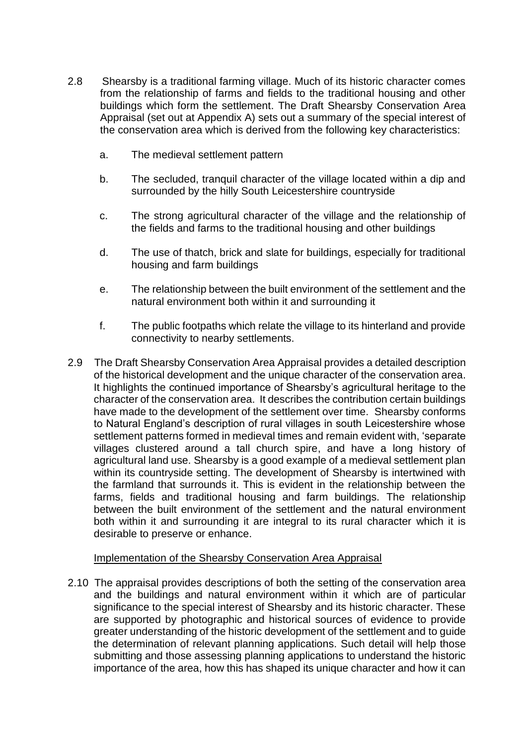- 2.8 Shearsby is a traditional farming village. Much of its historic character comes from the relationship of farms and fields to the traditional housing and other buildings which form the settlement. The Draft Shearsby Conservation Area Appraisal (set out at Appendix A) sets out a summary of the special interest of the conservation area which is derived from the following key characteristics:
	- a. The medieval settlement pattern
	- b. The secluded, tranquil character of the village located within a dip and surrounded by the hilly South Leicestershire countryside
	- c. The strong agricultural character of the village and the relationship of the fields and farms to the traditional housing and other buildings
	- d. The use of thatch, brick and slate for buildings, especially for traditional housing and farm buildings
	- e. The relationship between the built environment of the settlement and the natural environment both within it and surrounding it
	- f. The public footpaths which relate the village to its hinterland and provide connectivity to nearby settlements.
- 2.9 The Draft Shearsby Conservation Area Appraisal provides a detailed description of the historical development and the unique character of the conservation area. It highlights the continued importance of Shearsby's agricultural heritage to the character of the conservation area. It describes the contribution certain buildings have made to the development of the settlement over time. Shearsby conforms to Natural England's description of rural villages in south Leicestershire whose settlement patterns formed in medieval times and remain evident with, 'separate villages clustered around a tall church spire, and have a long history of agricultural land use. Shearsby is a good example of a medieval settlement plan within its countryside setting. The development of Shearsby is intertwined with the farmland that surrounds it. This is evident in the relationship between the farms, fields and traditional housing and farm buildings. The relationship between the built environment of the settlement and the natural environment both within it and surrounding it are integral to its rural character which it is desirable to preserve or enhance.

#### Implementation of the Shearsby Conservation Area Appraisal

2.10 The appraisal provides descriptions of both the setting of the conservation area and the buildings and natural environment within it which are of particular significance to the special interest of Shearsby and its historic character. These are supported by photographic and historical sources of evidence to provide greater understanding of the historic development of the settlement and to guide the determination of relevant planning applications. Such detail will help those submitting and those assessing planning applications to understand the historic importance of the area, how this has shaped its unique character and how it can